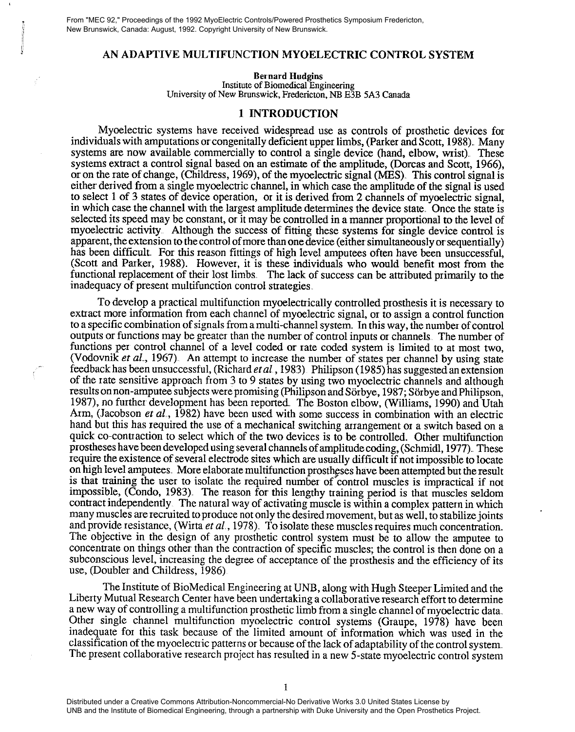From "MEC 92," Proceedings of the 1992 MyoElectric Controls/Powered Prosthetics Symposium Fredericton, New Brunswick, Canada: August, 1992. Copyright University of New Brunswick.

## AN ADAPTIVE MULTIFUNCTION MYOELECTRIC CONTROL SYSTEM

Bernard Hudgins Institute of Biomedical Engineering University of New Brunswick, Fredericton, NB E3B 5A3 Canada

## 1 INTRODUCTION

Myoelectric systems have received widespread use as controls of prosthetic devices for individuals with amputations or congenitally deficient upper limbs, (Parker and Scott, 1988). Many systems are now available commercially to control a single device (hand, elbow, wrist). These systems extract a control signal based on an estimate of the amplitude, (Dorcas and Scott, 1966), or on the rate of change, (Childress, 1969), of the myoelectric signal (MES). This control signal is either derived from a single myoelectric channel, in which case the amplitude of the signal is used to select 1 of 3 states of device operation, or it is derived from 2 channels of myoelectric signal, in which case the channel with the largest amplitude determines the device state,. Once the state is selected its speed may be constant, or it may be controlled in a manner proportional to the level of myoelectric activity. Although the success of fitting these systems for single device control is apparent, the extension to the control of more than one device (either simultaneously or sequentially) has been difficult. For this reason fittings of high level amputees often have been unsuccessful, (Scott and Parker, 1988). However, it is these individuals who would benefit most from the functional replacement of their lost limbs. The lack of success can be attributed primarily to the inadequacy of present multifunction control strategies.

To develop a practical multifunction myoelectrically controlled prosthesis it is necessary to extract more information from each channel of myoelectric signal, or to assign a control function to a specific combination of signals from a multi-channel system. In this way, the number of control outputs or functions may be greater than the number of control inputs or channels The number of functions per control channel of a level coded or rate coded system is limited to at most two, (Vodovnik et al., 1967). An attempt to increase the number of states per channel by using state feedback has been unsuccessful, (Richard *et al.*, 1983). Philipson (1985) has suggested an extension of the rate sensitive approach from 3 to 9 states by using two myoelecuic channels and although results on non-amputee subjects were promising (Philipson and Sörbye, 1987; Sörbye and Philipson, 1987), no further development has been reported. The Boston elbow, (Williams, 1990) and Utah Arm, (Jacobson et al., 1982) have been used with some success in combination with an electric hand but this has required the use of a mechanical switching arrangement or a switch based on a quick co-conuaction to select which of the two devices is to be controlled. Other multifunction prostheses have been developed using several channels of amplitude coding, (Schmidl, 1977). These require the existence of several electrode sites which are usually difficult if not impossible to locate on high level amputees. More elaborate multifunction prostheses have been attempted but the result is that training the user to isolate the required number of' control muscles is impractical if not impossible, (Condo, 1983). The reason for this lengthy training period is that muscles seldom contract independently The natural way of activating muscle is within a complex pattern in which many muscles are recruited to produce not only the desired movement, but as well, to stabilize joints and provide resistance, (Wirta *et al.*, 1978). To isolate these muscles requires much concentration. The objective in the design of any prosthetic control system must be to allow the amputee to concentrate on things other than the contraction of specific muscles; the control is then done on a subconscious level, increasing the degree of acceptance of the prosthesis and the efficiency of its use, (Doubler and Childress, 1986)

The Institute of BioMedical Engineering at UNB, along with Hugh Steeper Limited and the Liberty Mutual Research Center have been undertaking a collaborative research effort to determine a new way of controlling a multifunction prosthetic limb from a single channel of myoelectric data Other single channel multifunction myoelectric control systems (Graupe, 1978) have been inadequate for this task because of the limited arnount of information which was used in the classification of the myoelectric patterns or because of the lack of adaptability of the control system The present collaborative research project has resulted in a new 5-state myoelectric control system

Distributed under a Creative Commons Attribution-Noncommercial-No Derivative Works 3.0 United States License by UNB and the Institute of Biomedical Engineering, through a partnership with Duke University and the Open Prosthetics Project.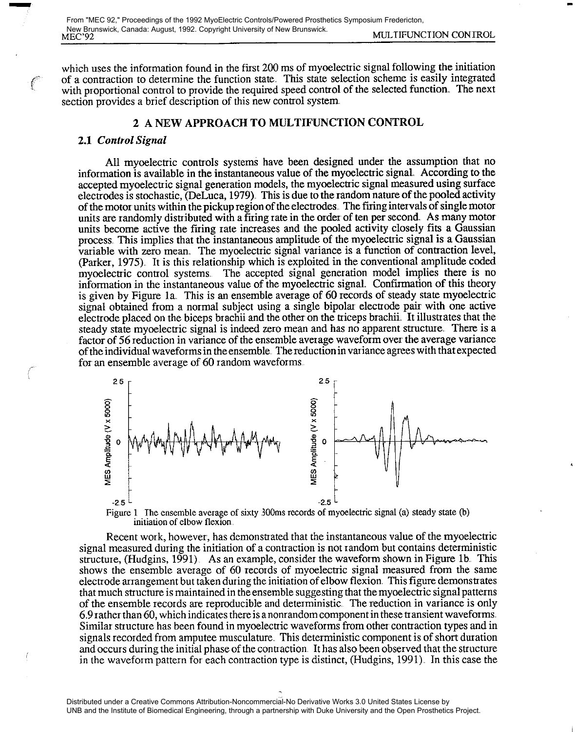which uses the information found in the first 200 ms of myoelectric signal following the initiation of a contraction to determine the function state. This state selection scheme is easily integrated with proportional control to provide the required speed control of the selected function,. The next section provides a brief description of this new control system.

# 2 A NEW APPROACH TO MULTIFUNCTION CONTROL

#### 2.1 Control Signal

All myoelectric controls systems have been designed under the assumption that no information is available in the instantaneous value of the myoelectric signal,. According to the accepted myoelectric signal generation models, the myoelectric signal measured using surface electrodes is stochastic, (DeLuca, 1979), This is due to the random nature of the pooled activity of the motor units within the pickup region of the electrodes. The firing intervals of single motor units are randomly distributed with a firing rate in the order of ten per second. As many motor units become active the firing rate increases and the pooled activity closely fits a Gaussian process This implies that the instantaneous amplitude of the myoelectric signal is a Gaussian variable with zero mean,. The myoelectric signal variance is a function of contraction level, (Parker, 1975), It is this relationship which is exploited in the conventional amplitude coded myoelectric control systems The accepted signal generation model implies there is no information in the instantaneous value of the myoelectric signal. Confirmation of this theory is given by Figure la This is an ensemble average of 60 records of steady state myoelectric signal obtained from a normal subject using a single bipolar electrode pair with one active electrode placed on the biceps brachii and the other on the triceps brachii. It illustrates that the steady state myoelectric signal is indeed zero mean and has no apparent structure. There is a factor of 56 reduction in variance of the ensemble average waveform over the average variance of the individual waveforms in the ensemble. The reduction in variance agrees with that expected for an ensemble average of 60 random waveforms



Figure 1 The ensemble average of sixty 300ms records of myoelectric signal (a) steady state (b) initiation of elbow flexion.

Recent work, however, has demonstrated that the instantaneous value of the myoelectric signal measured during the initiation of a contraction is not random but contains deterministic structure, (Hudgins, 1991). As an example, consider the waveform shown in Figure 1b. This shows the ensemble average of 60 records of myoelectic signal measured from the same electrode arrangement but taken during the initiation of elbow flexion. This figure demonstrates that much structure is maintained in the ensemble suggesting that the myoelectric signal patterns of the ensemble records are reproducible and deterministic. The reduction in variance is only 6.9 rather than 60, which indicates there is a nonrandom component in these transient waveforms. Similar structure has been found in myoelectric waveforms from other contraction types and in signals recorded from amputee musculature. This deterministic component is of short duration and occurs during the initial phase of the contraction It has also been observed that the structure in the waveform pattern for each contraction type is distinct, (Hudgins, 1991). In this case the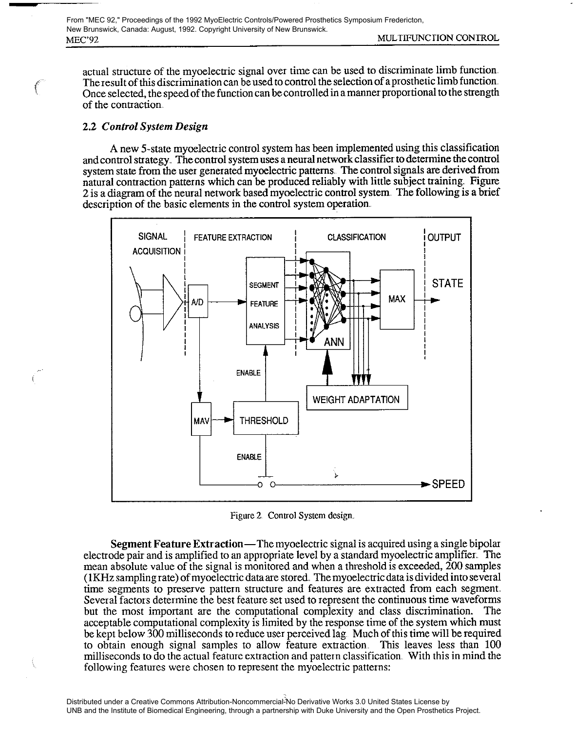actual structure of the myoelectric signal over time can be used to discriminate limb function The result of this discrimination can be used to control the selection of a prosthetic limb function Once selected, the speed of the function can be controlled in a manner proportional to the strength of the contraction

# 2.2 Control System Design

A new 5-state myoelectric control system has been implemented using this classification and control strategy. The control system uses a neural network classifier to determine the control system state from the user generated myoelectric patterns. The control signals are derived from natural contraction patterns which can be produced reliably with little subject training. Figure 2 is a diagram of the neural network based myoelectric control system The following is a brief description of the basic elements in the control systern operation.



Figure 2. Control System design..

Segment Feature Extraction—The myoelectric signal is acquired using a single bipolar electrode pair and is amplified to an appropriate level by a standard myoelectric amplifier. The mean absolute value of the signal is monitored and when a threshold is exceeded, 200 samples (1KHz sampling rate) of myoelectric data are stored,. The myoelectric data is divided into several time segments to preserve pattern structure and features are extracted from each segment Several factors determine the best feature set used to represent the continuous time waveforms but the most important are the computational complexity and class discrimination. The acceptable computational complexity is limited by the response time of the system which must be kept below 300 milliseconds to reduce user perceived lag. Much of this time will be required to obtain enough signal samples to allow feature extraction This leaves less than 100 milliseconds to do the actual feature extraction and pattern classification. With this in mind the following features were chosen to represent the myoelectric patterns: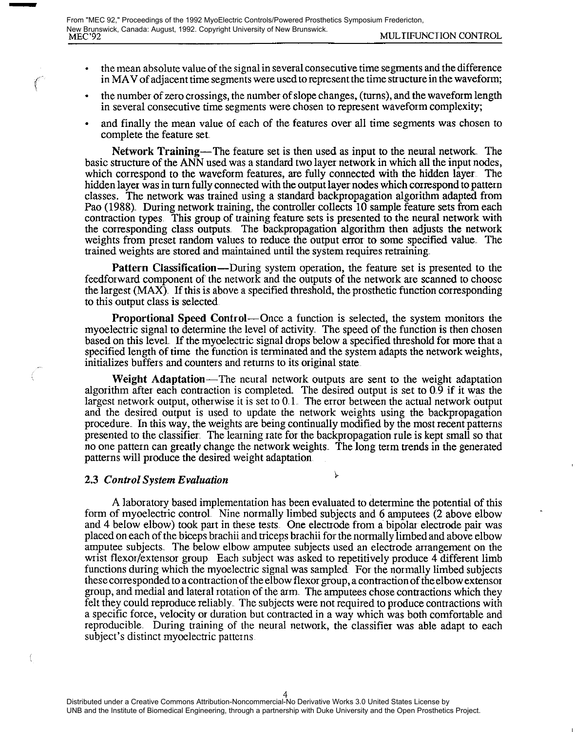- the mean absolute value of the signal in several consecutive time segments and the difference in MAV of adjacent time segments were used to represent the time structure in the waveform;
- the number of zero crossings, the number of slope changes, (turns), and the waveform length in several consecutive time segments were chosen to represent waveform complexity;
- and finally the mean value of each of the features over all time segments was chosen to complete the feature set.

Network Training—The feature set is then used as input to the neural network. The basic structure of the ANN used was a standard two layer network in which all the input nodes, which correspond to the waveform features, are fully connected with the hidden layer. The hidden layer was in turn fully connected with the output layer nodes which correspond to pattern classes. The network was trained using a standard backpropagation algorithm adapted from Pao (1988). During network training, the controller collects 10 sample feature sets from each contraction types This group of training feature sets is presented to the neural network with the corresponding class outputs. The backpropagation algorithm then adjusts the network weights from preset random values to reduce the output error to some specified value The trained weights are stored and maintained until the system requires retraining.

Pattern Classification—During system operation, the feature set is presented to the feedforward component of the network and the outputs of the network are scanned to choose the largest (MAX). If this is above a specified threshold, the prosthetic function corresponding to this output class is selected

Proportional Speed Control—Once a function is selected, the system monitors the myoelectric signal to determine the level of activity. The speed of the function is then chosen based on this level. If the myoelectric signal drops below a specified threshold for more that a specified length of time the function is terminated and the system adapts the network weights, initializes buffers and counters and returns to its original state.

Weight Adaptation—The neural network outputs are sent to the weight adaptation algorithm after each contraction is completed. The desired output is set to 0.9 if it was the largest network output, otherwise it is set to 0.1. The error between the actual network output and the desired output is used to update the network weights using the backpropagation procedure. In this way, the weights are being continually modified by the most recent patterns presented to the classifier. The learning rate for the backpropagation rule is kept small so that no one pattern can greatly change the network weights. The long term trends in the generated patterns will produce the desired weight adaptation

 $\mathbf{\hat{y}}$ 

## 2.3 Control System Evaluation

A laboratory based implementation has been evaluated to determine the potential of this form of myoelectic control. Nine normally limbed subjects and 6 amputees (2 above elbow and 4 below elbow) took part in these tests. One electrode from a bipolar electrode pair was placed on each of the biceps brachii and triceps brachii for the normally limbed and above elbow amputee subjects. The below elbow amputee subjects used an electrode arrangement on the wrist flexor/extensor group Each subject was asked to repetitively produce 4 different limb functions during which the myoelectric signal was sampled. For the normally limbed subjects these corresponded to a contraction of the elbow flexor group, a contraction of the elbow extensor group, and medial and lateral rotation of the arm. The amputees chose contractions which they felt they could reproduce reliably. The subjects were not required to produce contractions with a specific force, velocity or duration but contracted in a way which was both comfortable and reproducible. During training of the neural network, the classifier was able adapt to each subject's distinct myoelectric patterns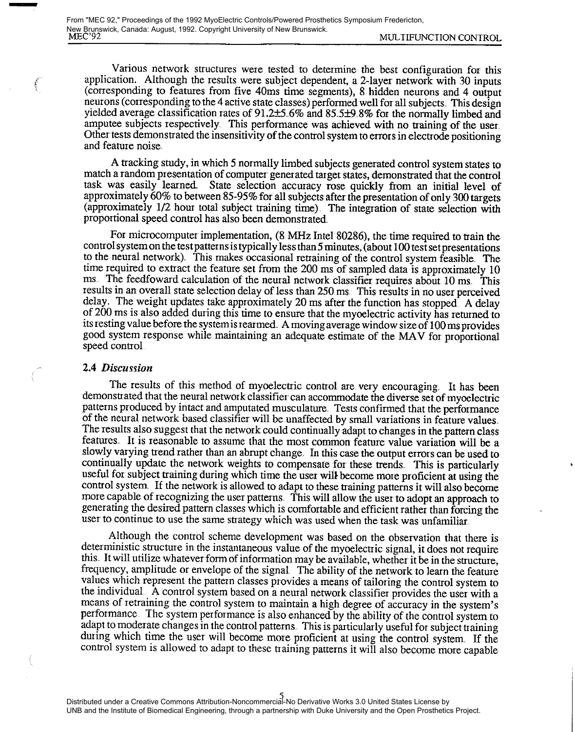Various network structures were tested to determine the best configuration for this application. Although the results were subject dependent, a 2-layer network with 30 inputs (corresponding to features from five 40ms time segments), 8 hidden neurons and 4 output neurons (corresponding to the 4 active state classes) performed well for all subjects. This design yielded average classification rates of 91.2±5, 6% and 85,5±9.8% for the normally limbed and amputee subjects respectively. This performance was achieved with no training of the user. Other tests demonstrated the insensitivity of the control system to errors in electrode positioning and feature noise

A tracking study, in which 5 normally limbed subjects generated control system states to match a random presentation of computer generated target states, demonstrated that the control task was easily learned. State selecti approximately 60% to between 85-95% for all subjects after the presentation of only 300 targets (approximately 1/2 hour total subject training time) The integration of state selection with proportional speed control has also been demonstrated

For microcomputer implementation, (8 MHz Intel 80286), the time required to train the control system on the test patterns is typically less than 5 minutes, (about 100 test set presentations to the neural network). This makes occasional retraining of the control system feasible. The time required to extract the feature set from the 200 ms of sampled data is approximately 10 ms. The feedfoward calculation of the neural network classifier requires about 10 ms. This results in an overall state selection delay of less than 250 ms This results in no user perceived delay. The weight updates take approximately 20 ms after the function has stopped. A delay of 200 ms is also added during this time to ensure that the myoelectric activity has returned to its resting value before the system is rearmed. A moving average window size of 100 ms provides good system response while maintaining an adequate estimate of the MAV for proportional speed control

#### 2.4 Discussion

**Section** 

The results of this method of myoelectric control are very encouraging. It has been demonstrated that the neural network classifier can accomrnodate the diverse set of myoelectric patterns produced by intact and amputated musculature. Tests confirmed that the performance of the neural network based classifier will be unaffected by small variations in feature values. The results also suggest that the network could continually adapt to changes in the pattern class features It is reasonable to assume that the most comrnon feature value variation will be a slowly varying trend rather than an abrupt change. In this case the output errors can be used to continually update the network weights to compensate for these trends,. This is particularly useful for subject training during which time the user will become more proficient at using the control system. If the network is allowed to adapt to these training patterns it will also become more capable of recognizing the user patterns. This will allow the user to adopt an approach to generating the desired pattem classes which is comfortable and efficient rather than forcing the user to continue to use the same strategy which was used when the task was unfamiliar.

Although the control scheme development was based on the observation that there is deterministic structure in the instantaneous value of the myoelectric signal, it does not require this It will utilize whatever form of information may be available, whether it be in the structure, frequency, amplitude or envelope of the signal The ability of the network to learn the feature values which represent the pattern classes provides a means of tailoring the control system to the individual A control systern based on a neural network classifier provides the user with a rneans of retraining the control system to maintain a high degree of accuracy in the system's performance. The system performance is also enhanced by the ability of the control system to adapt to moderate changes in the control patterns. This is particularly useful for subject training during which time the user will become more proficient at using the control system. If the control system is allowed to adapt to these training patterns it will also become more capable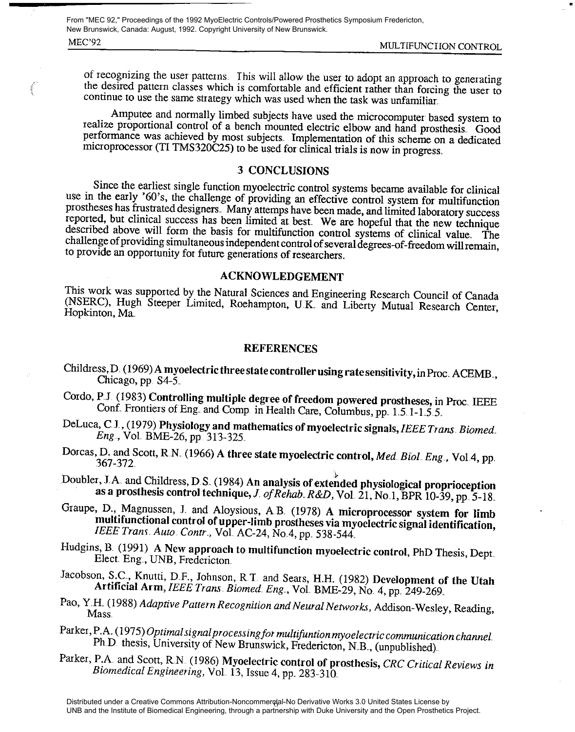MEC'92 MULTIFUNCTION CONTROL From "MEC 92," Proceedings of the 1992 MyoElectric Controls/Powered Prosthetics Symposium Fredericton, New Brunswick, Canada: August, 1992. Copyright University of New Brunswick.

erman,

of recognizing the user patterns. This will allow the user to adopt an approach to generating the desired pattern classes which is comfortable and efficient rather than forcing the user to continue to use the same strategy which was used when the task was unfamiliar.

Amputee and normally limbed subjects have used the microcomputer based system to realize proportional control of a bench mounted electric elbow and hand prosthesis. Good performance was achieved by most subjects. Implement microprocessor (TI TMS320C25) to be used for clinical trials is now in progress.

## 3 CONCLUSIONS

Since the earliest single function myoelectric control systems became available for clinical use in the early '60's, the challenge of providing an effective control system for multifunction prostheses has frustrated design reported, but clinical success has been limited at best. We are hopeful that the new technique described above will form the basis for multifunction control systems of clinical value. The challenge of providing simultaneou

ACKNOWLEDGEMENT<br>This work was supported by the Natural Sciences and Engineering Research Council of Canada (NSERC), Hugh Steeper Limited, Roehampton, U K and Liberty Mutual Research Center, Hopkinton, Ma,

## **REFERENCES**

- Childress, D. (1969) A myoelectric three state contr oiler using rate sensitivity, in Proc ACEMB., Chicago, pp. S4-5.
- Cordo, P.J. (1983) Controlling multiple degree of freedom powered prostheses, in Proc. IEEE Conf. Frontiers of Eng. and Comp. in Health Care, Columbus, pp. 1.5 1-1 5.5.
- DeLuca, C.J., (1979) Physiology and mathematics of myoelectric signals, IEEE Trans. Biomed.<br>Eng., Vol. BME-26, pp. 313-325.
- Dorcas, D. and Scott, R.N. (1966) A three state myoelectric control, Med. Biol. Eng., Vol.4, pp. 367-372.

Doubler, J. A. and Childress, D. S (1984) An analysis of extended physiological proprioception as a prosthesis control technique, J of Rehab. R&D, Vol. 21, No. 1, BPR 10-39, pp. 5-18.<br>Graupe, D., Magnussen, J. and Aloysious, A.B. (1978) A microprocessor system for limb

multifunctional control of upper-limb prostheses via myoelectric signal identification, IEEE Trans. Auto. Contr., Vol. AC-24, No. 4, pp. 538-544.

- Hudgins, B. (1991) A New approach to multifunction myoelectric control, PhD Thesis, Dept. Elect. Eng., UNB, Fredericton.
- Jacobson, S.C., Knutti, D.F., Johnson, R.T. and Sears, H.H. (1982) Development of the Utah Artificial Arm, IEEE Trans. Biomed. Eng., Vol. BME-29, No. 4, pp. 249-269.
- Pao, Y.H. (1988) Adaptive Pattern Recognition and Neural Networks, Addison-Wesley, Reading, Mass.
- Parker, P.A. (1975) Optimal signal processing for multifuntion myoelectric communication channel.<br>Ph D thesis, University of New Brunswick, Fredericton, N.B., (unpublished).
- Parker, P.A. and Scott, R.N. (1986) Myoelectric control of prosthesis, CRC Critical Reviews in Biomedical Engineering, Vol. 13, Issue 4, pp. 283-310.